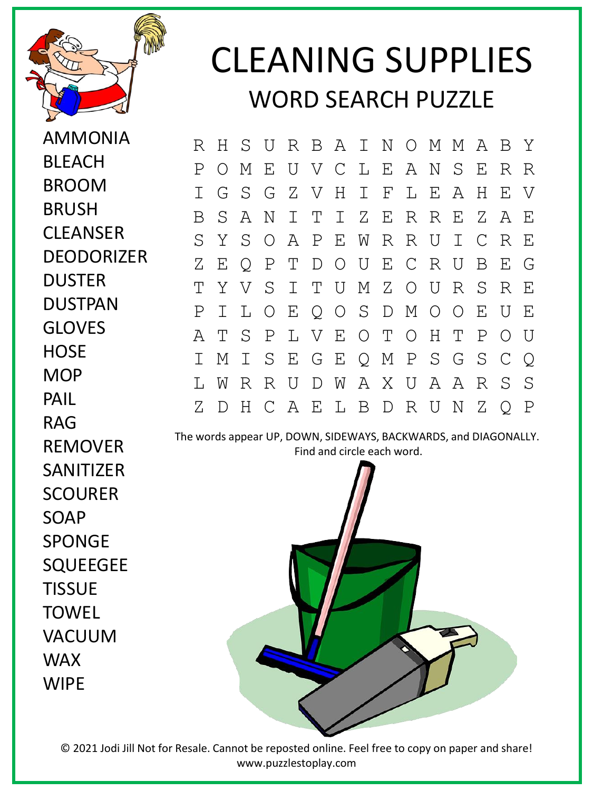

AMMONIA

BLEACH

BROOM

BRUSH

DUSTER

GLOVES

**HOSF** 

**MOP** 

PAIL

RAG

REMOVER

SANITIZER

**SCOURFR** 

SPONGE

**TISSUE** 

**TOWFL** 

WAX

**WIPF** 

VACUUM

SQUEEGEE

SOAP

DUSTPAN

**CLEANSER** 

**DEODORIZER** 

## CLEANING SUPPLIES WORD SEARCH PUZZLE

R H S U R B A I N O M M A B Y P O M E U V C L E A N S E R R I G S G Z V H I F L E A H E V B S A N I T I Z E R R E Z A E S Y S O A P E W R R U I C R E Z E Q P T D O U E C R U B E G T Y V S I T U M Z O U R S R E P I L O E Q O S D M O O E U E A T S P L V E O T O H T P O U I M I S E G E Q M P S G S C Q L W R R U D W A X U A A R S S Z D H C A E L B D R U N Z Q P

The words appear UP, DOWN, SIDEWAYS, BACKWARDS, and DIAGONALLY. Find and circle each word.



© 2021 Jodi Jill Not for Resale. Cannot be reposted online. Feel free to copy on paper and share! www.puzzlestoplay.com